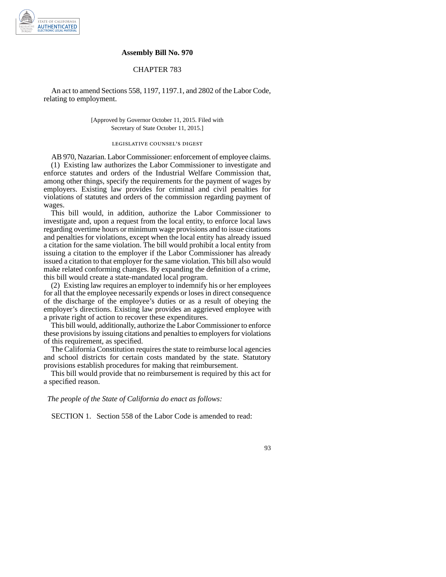

## **Assembly Bill No. 970**

## CHAPTER 783

An act to amend Sections 558, 1197, 1197.1, and 2802 of the Labor Code, relating to employment.

> [Approved by Governor October 11, 2015. Filed with Secretary of State October 11, 2015.]

## legislative counsel' s digest

AB 970, Nazarian. Labor Commissioner: enforcement of employee claims. (1) Existing law authorizes the Labor Commissioner to investigate and enforce statutes and orders of the Industrial Welfare Commission that, among other things, specify the requirements for the payment of wages by employers. Existing law provides for criminal and civil penalties for violations of statutes and orders of the commission regarding payment of wages.

This bill would, in addition, authorize the Labor Commissioner to investigate and, upon a request from the local entity, to enforce local laws regarding overtime hours or minimum wage provisions and to issue citations and penalties for violations, except when the local entity has already issued a citation for the same violation. The bill would prohibit a local entity from issuing a citation to the employer if the Labor Commissioner has already issued a citation to that employer for the same violation. This bill also would make related conforming changes. By expanding the definition of a crime, this bill would create a state-mandated local program.

(2) Existing law requires an employer to indemnify his or her employees for all that the employee necessarily expends or loses in direct consequence of the discharge of the employee's duties or as a result of obeying the employer's directions. Existing law provides an aggrieved employee with a private right of action to recover these expenditures.

This bill would, additionally, authorize the Labor Commissioner to enforce these provisions by issuing citations and penalties to employers for violations of this requirement, as specified.

The California Constitution requires the state to reimburse local agencies and school districts for certain costs mandated by the state. Statutory provisions establish procedures for making that reimbursement.

This bill would provide that no reimbursement is required by this act for a specified reason.

*The people of the State of California do enact as follows:*

SECTION 1. Section 558 of the Labor Code is amended to read: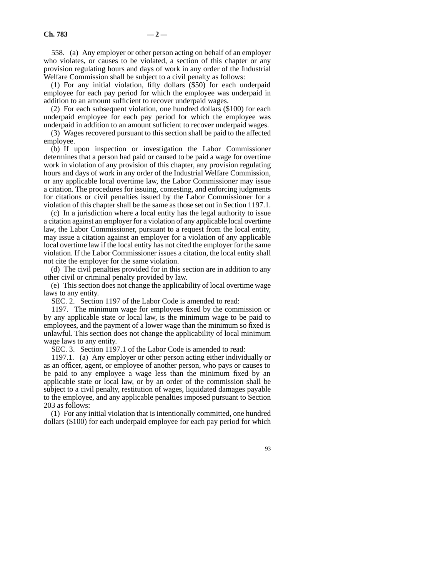558. (a) Any employer or other person acting on behalf of an employer who violates, or causes to be violated, a section of this chapter or any provision regulating hours and days of work in any order of the Industrial Welfare Commission shall be subject to a civil penalty as follows:

(1) For any initial violation, fifty dollars (\$50) for each underpaid employee for each pay period for which the employee was underpaid in addition to an amount sufficient to recover underpaid wages.

(2) For each subsequent violation, one hundred dollars (\$100) for each underpaid employee for each pay period for which the employee was underpaid in addition to an amount sufficient to recover underpaid wages.

(3) Wages recovered pursuant to this section shall be paid to the affected employee.

(b) If upon inspection or investigation the Labor Commissioner determines that a person had paid or caused to be paid a wage for overtime work in violation of any provision of this chapter, any provision regulating hours and days of work in any order of the Industrial Welfare Commission, or any applicable local overtime law, the Labor Commissioner may issue a citation. The procedures for issuing, contesting, and enforcing judgments for citations or civil penalties issued by the Labor Commissioner for a violation of this chapter shall be the same as those set out in Section 1197.1.

(c) In a jurisdiction where a local entity has the legal authority to issue a citation against an employer for a violation of any applicable local overtime law, the Labor Commissioner, pursuant to a request from the local entity, may issue a citation against an employer for a violation of any applicable local overtime law if the local entity has not cited the employer for the same violation. If the Labor Commissioner issues a citation, the local entity shall not cite the employer for the same violation.

(d) The civil penalties provided for in this section are in addition to any other civil or criminal penalty provided by law.

(e) This section does not change the applicability of local overtime wage laws to any entity.

SEC. 2. Section 1197 of the Labor Code is amended to read:

1197. The minimum wage for employees fixed by the commission or by any applicable state or local law, is the minimum wage to be paid to employees, and the payment of a lower wage than the minimum so fixed is unlawful. This section does not change the applicability of local minimum wage laws to any entity.

SEC. 3. Section 1197.1 of the Labor Code is amended to read:

1197.1. (a) Any employer or other person acting either individually or as an officer, agent, or employee of another person, who pays or causes to be paid to any employee a wage less than the minimum fixed by an applicable state or local law, or by an order of the commission shall be subject to a civil penalty, restitution of wages, liquidated damages payable to the employee, and any applicable penalties imposed pursuant to Section 203 as follows:

(1) For any initial violation that is intentionally committed, one hundred dollars (\$100) for each underpaid employee for each pay period for which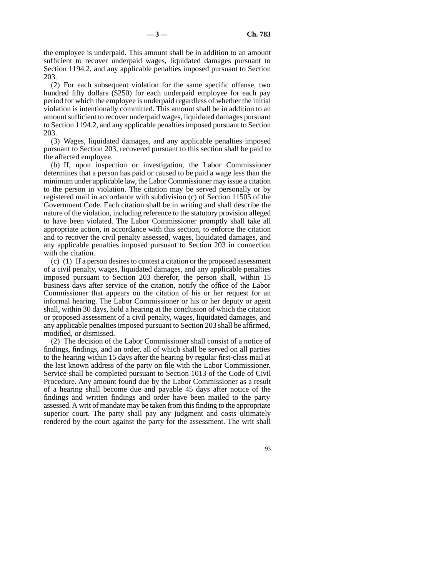the employee is underpaid. This amount shall be in addition to an amount sufficient to recover underpaid wages, liquidated damages pursuant to Section 1194.2, and any applicable penalties imposed pursuant to Section 203.

(2) For each subsequent violation for the same specific offense, two hundred fifty dollars (\$250) for each underpaid employee for each pay period for which the employee is underpaid regardless of whether the initial violation is intentionally committed. This amount shall be in addition to an amount sufficient to recover underpaid wages, liquidated damages pursuant to Section 1194.2, and any applicable penalties imposed pursuant to Section 203.

(3) Wages, liquidated damages, and any applicable penalties imposed pursuant to Section 203, recovered pursuant to this section shall be paid to the affected employee.

(b) If, upon inspection or investigation, the Labor Commissioner determines that a person has paid or caused to be paid a wage less than the minimum under applicable law, the Labor Commissioner may issue a citation to the person in violation. The citation may be served personally or by registered mail in accordance with subdivision (c) of Section 11505 of the Government Code. Each citation shall be in writing and shall describe the nature of the violation, including reference to the statutory provision alleged to have been violated. The Labor Commissioner promptly shall take all appropriate action, in accordance with this section, to enforce the citation and to recover the civil penalty assessed, wages, liquidated damages, and any applicable penalties imposed pursuant to Section 203 in connection with the citation.

(c) (1) If a person desires to contest a citation or the proposed assessment of a civil penalty, wages, liquidated damages, and any applicable penalties imposed pursuant to Section 203 therefor, the person shall, within 15 business days after service of the citation, notify the office of the Labor Commissioner that appears on the citation of his or her request for an informal hearing. The Labor Commissioner or his or her deputy or agent shall, within 30 days, hold a hearing at the conclusion of which the citation or proposed assessment of a civil penalty, wages, liquidated damages, and any applicable penalties imposed pursuant to Section 203 shall be affirmed, modified, or dismissed.

(2) The decision of the Labor Commissioner shall consist of a notice of findings, findings, and an order, all of which shall be served on all parties to the hearing within 15 days after the hearing by regular first-class mail at the last known address of the party on file with the Labor Commissioner. Service shall be completed pursuant to Section 1013 of the Code of Civil Procedure. Any amount found due by the Labor Commissioner as a result of a hearing shall become due and payable 45 days after notice of the findings and written findings and order have been mailed to the party assessed. A writ of mandate may be taken from this finding to the appropriate superior court. The party shall pay any judgment and costs ultimately rendered by the court against the party for the assessment. The writ shall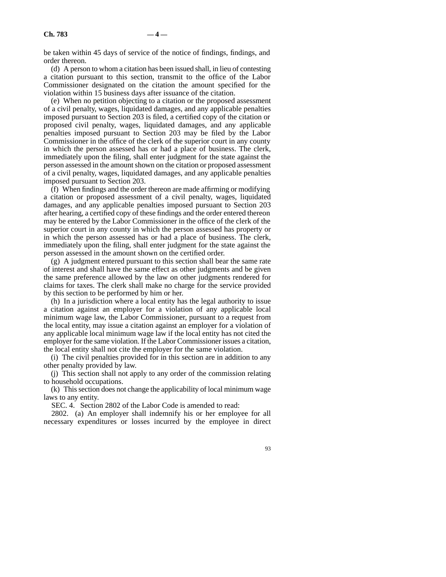be taken within 45 days of service of the notice of findings, findings, and order thereon.

(d) A person to whom a citation has been issued shall, in lieu of contesting a citation pursuant to this section, transmit to the office of the Labor Commissioner designated on the citation the amount specified for the violation within 15 business days after issuance of the citation.

(e) When no petition objecting to a citation or the proposed assessment of a civil penalty, wages, liquidated damages, and any applicable penalties imposed pursuant to Section 203 is filed, a certified copy of the citation or proposed civil penalty, wages, liquidated damages, and any applicable penalties imposed pursuant to Section 203 may be filed by the Labor Commissioner in the office of the clerk of the superior court in any county in which the person assessed has or had a place of business. The clerk, immediately upon the filing, shall enter judgment for the state against the person assessed in the amount shown on the citation or proposed assessment of a civil penalty, wages, liquidated damages, and any applicable penalties imposed pursuant to Section 203.

(f) When findings and the order thereon are made affirming or modifying a citation or proposed assessment of a civil penalty, wages, liquidated damages, and any applicable penalties imposed pursuant to Section 203 after hearing, a certified copy of these findings and the order entered thereon may be entered by the Labor Commissioner in the office of the clerk of the superior court in any county in which the person assessed has property or in which the person assessed has or had a place of business. The clerk, immediately upon the filing, shall enter judgment for the state against the person assessed in the amount shown on the certified order.

(g) A judgment entered pursuant to this section shall bear the same rate of interest and shall have the same effect as other judgments and be given the same preference allowed by the law on other judgments rendered for claims for taxes. The clerk shall make no charge for the service provided by this section to be performed by him or her.

(h) In a jurisdiction where a local entity has the legal authority to issue a citation against an employer for a violation of any applicable local minimum wage law, the Labor Commissioner, pursuant to a request from the local entity, may issue a citation against an employer for a violation of any applicable local minimum wage law if the local entity has not cited the employer for the same violation. If the Labor Commissioner issues a citation, the local entity shall not cite the employer for the same violation.

(i) The civil penalties provided for in this section are in addition to any other penalty provided by law.

(j) This section shall not apply to any order of the commission relating to household occupations.

(k) This section does not change the applicability of local minimum wage laws to any entity.

SEC. 4. Section 2802 of the Labor Code is amended to read:

2802. (a) An employer shall indemnify his or her employee for all necessary expenditures or losses incurred by the employee in direct